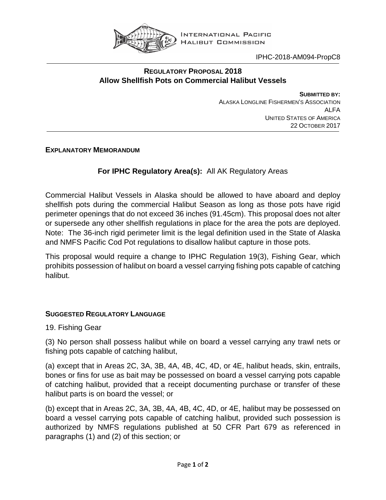

IPHC-2018-AM094-PropC8

## **REGULATORY PROPOSAL 2018 Allow Shellfish Pots on Commercial Halibut Vessels**

**SUBMITTED BY:** ALASKA LONGLINE FISHERMEN'S ASSOCIATION ALFA UNITED STATES OF AMERICA 22 OCTOBER 2017

**EXPLANATORY MEMORANDUM**

## **For IPHC Regulatory Area(s):** All AK Regulatory Areas

Commercial Halibut Vessels in Alaska should be allowed to have aboard and deploy shellfish pots during the commercial Halibut Season as long as those pots have rigid perimeter openings that do not exceed 36 inches (91.45cm). This proposal does not alter or supersede any other shellfish regulations in place for the area the pots are deployed. Note: The 36-inch rigid perimeter limit is the legal definition used in the State of Alaska and NMFS Pacific Cod Pot regulations to disallow halibut capture in those pots.

This proposal would require a change to IPHC Regulation 19(3), Fishing Gear, which prohibits possession of halibut on board a vessel carrying fishing pots capable of catching halibut.

## **SUGGESTED REGULATORY LANGUAGE**

19. Fishing Gear

(3) No person shall possess halibut while on board a vessel carrying any trawl nets or fishing pots capable of catching halibut,

(a) except that in Areas 2C, 3A, 3B, 4A, 4B, 4C, 4D, or 4E, halibut heads, skin, entrails, bones or fins for use as bait may be possessed on board a vessel carrying pots capable of catching halibut, provided that a receipt documenting purchase or transfer of these halibut parts is on board the vessel; or

(b) except that in Areas 2C, 3A, 3B, 4A, 4B, 4C, 4D, or 4E, halibut may be possessed on board a vessel carrying pots capable of catching halibut, provided such possession is authorized by NMFS regulations published at 50 CFR Part 679 as referenced in paragraphs (1) and (2) of this section; or